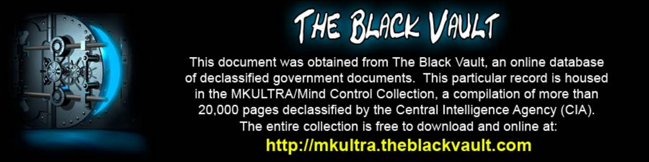

This document was obtained from The Black Vault, an online database of declassified government documents. This particular record is housed in the MKULTRA/Mind Control Collection, a compilation of more than 20,000 pages declassified by the Central Intelligence Agency (CIA). The entire collection is free to download and online at: http://mkultra.theblackvault.com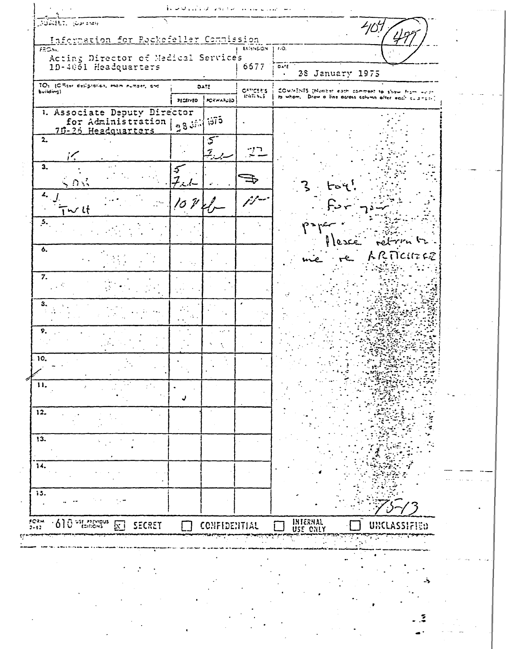| Information for Rockefeller Commission                                |                   |                        |                            |                                                         |
|-----------------------------------------------------------------------|-------------------|------------------------|----------------------------|---------------------------------------------------------|
| FROM:<br>Acting Director of Medical Service's<br>1D-4061 Headquarters |                   |                        | EXISIBLE N.   110.<br>6677 | $0 \times E$<br>28 January 1975                         |
| TO: (Cificar designation, mom number, and<br>building)                | DATE              |                        | OFFICER'S                  | COMMENTS (Number each comment to show from we'r-        |
|                                                                       |                   | PECEIVED   PORWARUED   | 159723.30                  | to whom. Draw a line across column after each sulphose? |
| 1. Associate Deputy Director<br>for Administration                    | $\sim$ 3 $3\cdot$ | ंगें २                 |                            |                                                         |
| 2.<br>$i\zeta$                                                        |                   | 5<br>$\mathcal{I}_{i}$ |                            |                                                         |
| 3.<br>くりぶ                                                             | Ć.                |                        |                            |                                                         |
| 4.<br>ょし                                                              | 10 V              |                        |                            |                                                         |
| $\mathbf{5}$ .                                                        |                   |                        |                            | lesce retrin tr                                         |
| 6.                                                                    |                   |                        |                            | ARTICITERE                                              |
| 7.                                                                    |                   |                        |                            |                                                         |
| з.                                                                    |                   |                        |                            |                                                         |
| 9.                                                                    |                   | a an                   |                            |                                                         |
| 10.                                                                   |                   |                        |                            |                                                         |
| 11.                                                                   |                   |                        |                            |                                                         |
| 12.                                                                   |                   |                        |                            |                                                         |
| 13.                                                                   |                   |                        |                            |                                                         |
| 14.                                                                   |                   |                        |                            |                                                         |
| 15.                                                                   |                   |                        |                            |                                                         |
| Û<br>USE PREVIOUS<br>FCRN<br>3-42<br>SECRET<br>lx i                   |                   | CONFIDENTIAL           |                            | INTERNAL<br>USE CNLY<br>uxcl                            |
|                                                                       |                   |                        |                            |                                                         |
|                                                                       |                   |                        |                            |                                                         |
|                                                                       |                   |                        |                            |                                                         |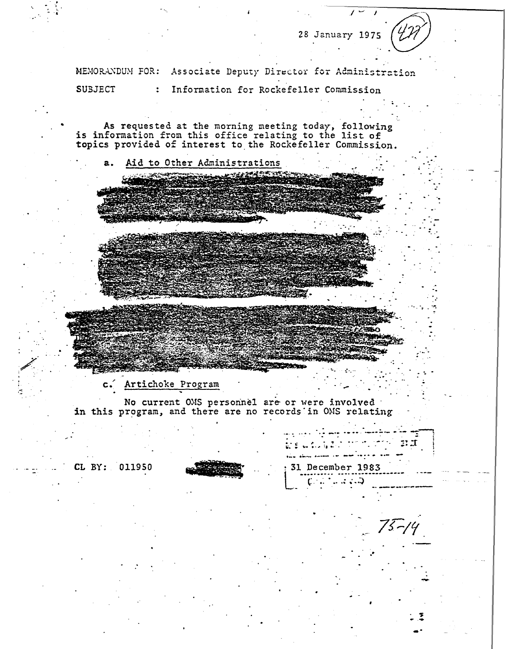28 January 1975

MEMORANDUM FOR: Associate Deputy Director for Administration **SUBJECT** Information for Rockefeller Commission  $\ddot{\cdot}$ 

As requested at the morning meeting today, following<br>is information from this office relating to the list of<br>topics provided of interest to the Rockefeller Commission.

Aid to Other Administrations  $a_{\bullet}$ 

Artichoke Program  $\mathsf{c}$ .

No current OMS personnel are or were involved in this program, and there are no records in OMS relating

CL BY: 011950



<sub>nas dinamas con momentos</sub> 31 December 1983

 $1.112$ 

 $\mathbb{R}$  is  $\mathbb{R}$